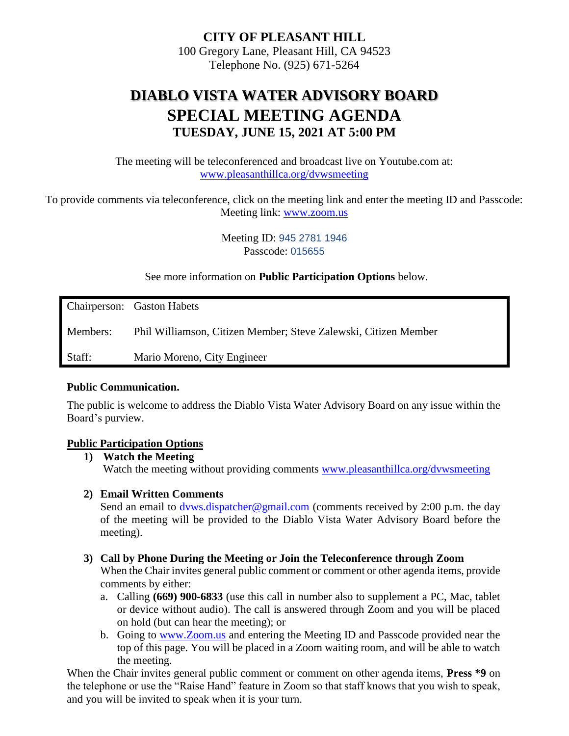**CITY OF PLEASANT HILL** 100 Gregory Lane, Pleasant Hill, CA 94523 Telephone No. (925) 671-5264

# **DIABLO VISTA WATER ADVISORY BOARD SPECIAL MEETING AGENDA TUESDAY, JUNE 15, 2021 AT 5:00 PM**

The meeting will be teleconferenced and broadcast live on Youtube.com at: [www.pleasanthillca.org/dvwsmeeting](http://www.pleasanthillca.org/dvwsmeeting)

To provide comments via teleconference, click on the meeting link and enter the meeting ID and Passcode: Meeting link: [www.zoom.us](http://www.zoom.us/)

> Meeting ID: 945 2781 1946 Passcode: 015655

See more information on **Public Participation Options** below.

Chairperson: Gaston Habets Members: Phil Williamson, Citizen Member; Steve Zalewski, Citizen Member Staff: Mario Moreno, City Engineer

#### **Public Communication.**

The public is welcome to address the Diablo Vista Water Advisory Board on any issue within the Board's purview.

#### **Public Participation Options**

**1) Watch the Meeting** Watch the meeting without providing comments [www.pleasanthillca.org/dvwsmeeting](http://www.pleasanthillca.org/dvwsmeeting)

#### **2) Email Written Comments**

Send an email to dyws.dispatcher@gmail.com (comments received by 2:00 p.m. the day of the meeting will be provided to the Diablo Vista Water Advisory Board before the meeting).

#### **3) Call by Phone During the Meeting or Join the Teleconference through Zoom**

When the Chair invites general public comment or comment or other agenda items, provide comments by either:

- a. Calling **(669) 900-6833** (use this call in number also to supplement a PC, Mac, tablet or device without audio). The call is answered through Zoom and you will be placed on hold (but can hear the meeting); or
- b. Going to [www.Zoom.us](http://www.zoom.us/) and entering the Meeting ID and Passcode provided near the top of this page. You will be placed in a Zoom waiting room, and will be able to watch the meeting.

When the Chair invites general public comment or comment on other agenda items, **Press** \*9 on the telephone or use the "Raise Hand" feature in Zoom so that staff knows that you wish to speak, and you will be invited to speak when it is your turn.